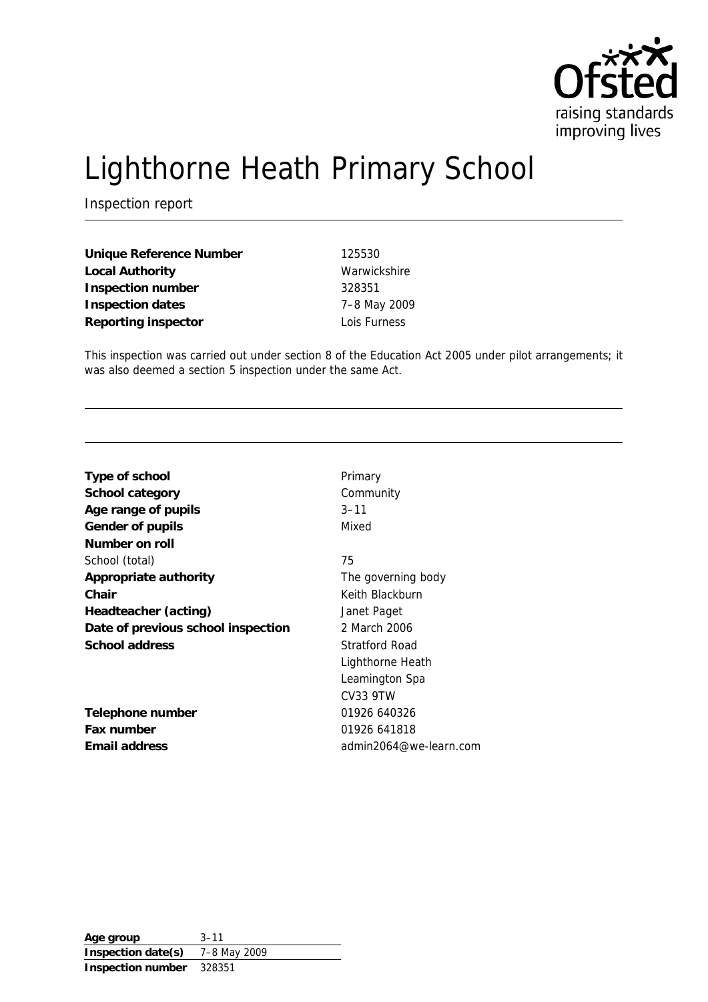

# Lighthorne Heath Primary School

Inspection report

**Unique Reference Number** 125530 Local Authority **Warwickshire Inspection number** 328351 **Inspection dates** 7–8 May 2009 **Reporting inspector** Lois Furness

This inspection was carried out under section 8 of the Education Act 2005 under pilot arrangements; it was also deemed a section 5 inspection under the same Act.

| Type of school                     | Primary                |
|------------------------------------|------------------------|
| School category                    | Community              |
| Age range of pupils                | $3 - 11$               |
| Gender of pupils                   | Mixed                  |
| Number on roll                     |                        |
| School (total)                     | 75                     |
| Appropriate authority              | The governing body     |
| Chair                              | Keith Blackburn        |
| Headteacher (acting)               | Janet Paget            |
| Date of previous school inspection | 2 March 2006           |
| School address                     | Stratford Road         |
|                                    | Lighthorne Heath       |
|                                    | Leamington Spa         |
|                                    | <b>CV33 9TW</b>        |
| Telephone number                   | 01926 640326           |
| Fax number                         | 01926 641818           |
| Email address                      | admin2064@we-learn.com |

**Age group** 3–11 **Inspection date(s)** 7–8 May 2009 **Inspection number** 328351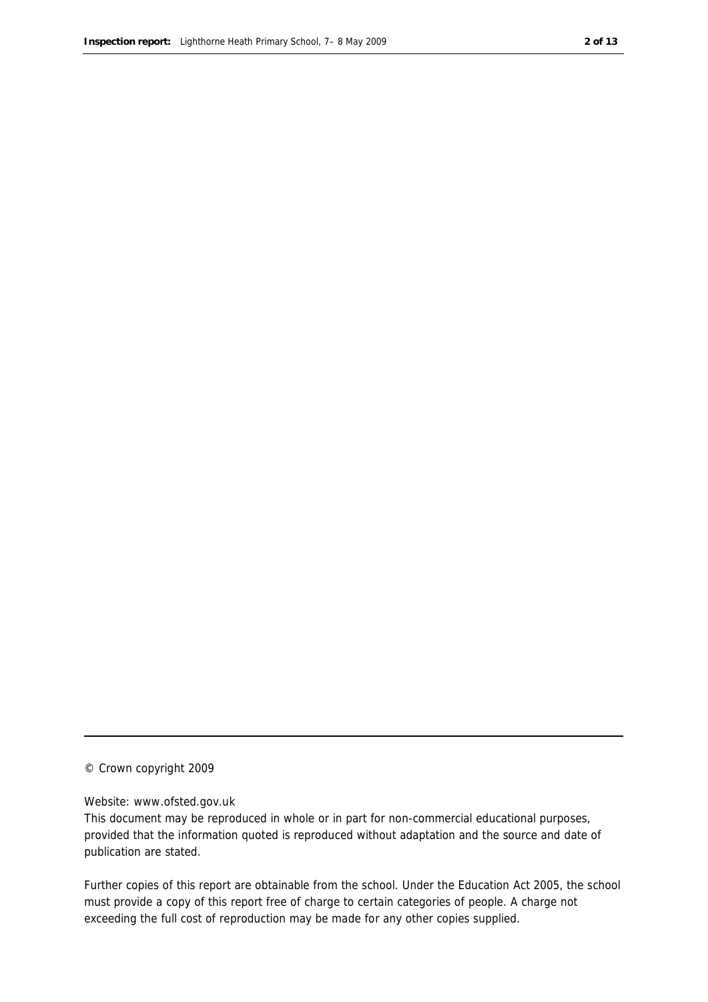#### © Crown copyright 2009

#### Website: www.ofsted.gov.uk

This document may be reproduced in whole or in part for non-commercial educational purposes, provided that the information quoted is reproduced without adaptation and the source and date of publication are stated.

Further copies of this report are obtainable from the school. Under the Education Act 2005, the school must provide a copy of this report free of charge to certain categories of people. A charge not exceeding the full cost of reproduction may be made for any other copies supplied.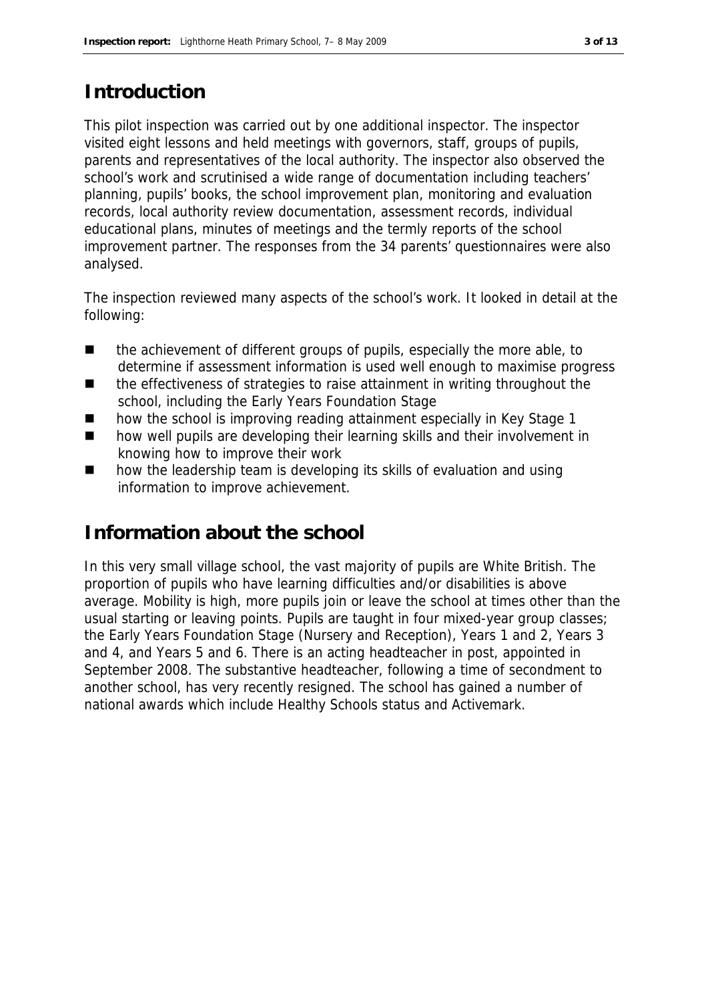#### **Introduction**

This pilot inspection was carried out by one additional inspector. The inspector visited eight lessons and held meetings with governors, staff, groups of pupils, parents and representatives of the local authority. The inspector also observed the school's work and scrutinised a wide range of documentation including teachers' planning, pupils' books, the school improvement plan, monitoring and evaluation records, local authority review documentation, assessment records, individual educational plans, minutes of meetings and the termly reports of the school improvement partner. The responses from the 34 parents' questionnaires were also analysed.

The inspection reviewed many aspects of the school's work. It looked in detail at the following:

- the achievement of different groups of pupils, especially the more able, to determine if assessment information is used well enough to maximise progress
- the effectiveness of strategies to raise attainment in writing throughout the school, including the Early Years Foundation Stage
- how the school is improving reading attainment especially in Key Stage 1
- how well pupils are developing their learning skills and their involvement in knowing how to improve their work
- how the leadership team is developing its skills of evaluation and using information to improve achievement.

#### **Information about the school**

In this very small village school, the vast majority of pupils are White British. The proportion of pupils who have learning difficulties and/or disabilities is above average. Mobility is high, more pupils join or leave the school at times other than the usual starting or leaving points. Pupils are taught in four mixed-year group classes; the Early Years Foundation Stage (Nursery and Reception), Years 1 and 2, Years 3 and 4, and Years 5 and 6. There is an acting headteacher in post, appointed in September 2008. The substantive headteacher, following a time of secondment to another school, has very recently resigned. The school has gained a number of national awards which include Healthy Schools status and Activemark.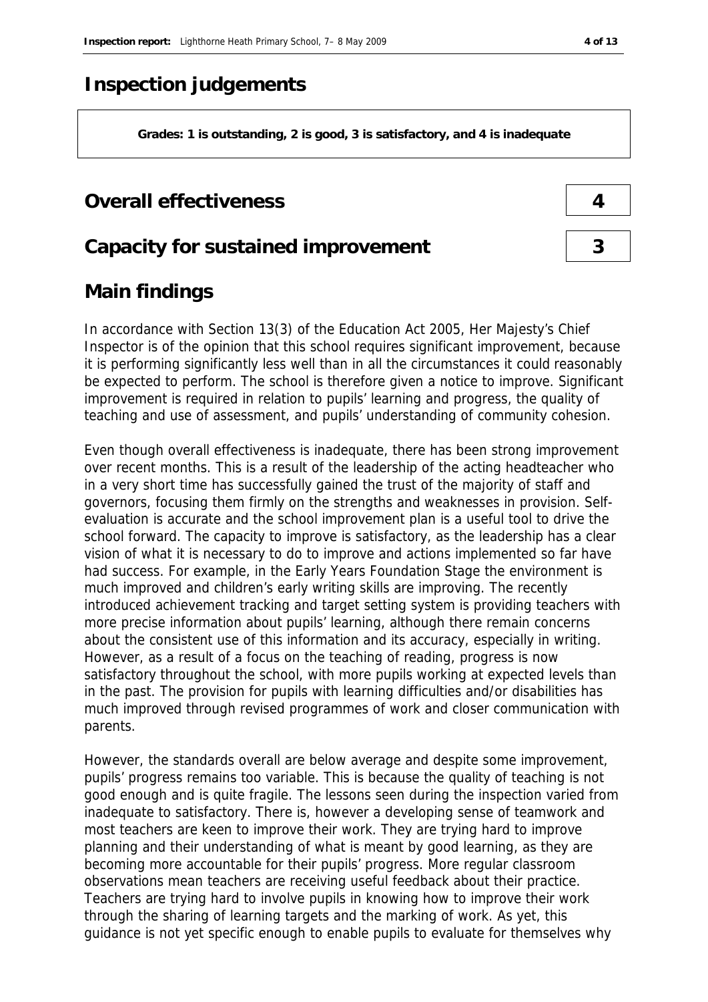#### **Inspection judgements**

**Grades: 1 is outstanding, 2 is good, 3 is satisfactory, and 4 is inadequate**

#### **Overall effectiveness 4**

#### **Capacity for sustained improvement 3**

#### **Main findings**

In accordance with Section 13(3) of the Education Act 2005, Her Majesty's Chief Inspector is of the opinion that this school requires significant improvement, because it is performing significantly less well than in all the circumstances it could reasonably be expected to perform. The school is therefore given a notice to improve. Significant improvement is required in relation to pupils' learning and progress, the quality of teaching and use of assessment, and pupils' understanding of community cohesion.

Even though overall effectiveness is inadequate, there has been strong improvement over recent months. This is a result of the leadership of the acting headteacher who in a very short time has successfully gained the trust of the majority of staff and governors, focusing them firmly on the strengths and weaknesses in provision. Selfevaluation is accurate and the school improvement plan is a useful tool to drive the school forward. The capacity to improve is satisfactory, as the leadership has a clear vision of what it is necessary to do to improve and actions implemented so far have had success. For example, in the Early Years Foundation Stage the environment is much improved and children's early writing skills are improving. The recently introduced achievement tracking and target setting system is providing teachers with more precise information about pupils' learning, although there remain concerns about the consistent use of this information and its accuracy, especially in writing. However, as a result of a focus on the teaching of reading, progress is now satisfactory throughout the school, with more pupils working at expected levels than in the past. The provision for pupils with learning difficulties and/or disabilities has much improved through revised programmes of work and closer communication with parents.

However, the standards overall are below average and despite some improvement, pupils' progress remains too variable. This is because the quality of teaching is not good enough and is quite fragile. The lessons seen during the inspection varied from inadequate to satisfactory. There is, however a developing sense of teamwork and most teachers are keen to improve their work. They are trying hard to improve planning and their understanding of what is meant by good learning, as they are becoming more accountable for their pupils' progress. More regular classroom observations mean teachers are receiving useful feedback about their practice. Teachers are trying hard to involve pupils in knowing how to improve their work through the sharing of learning targets and the marking of work. As yet, this guidance is not yet specific enough to enable pupils to evaluate for themselves why

| 4 |  |
|---|--|
|   |  |
| 3 |  |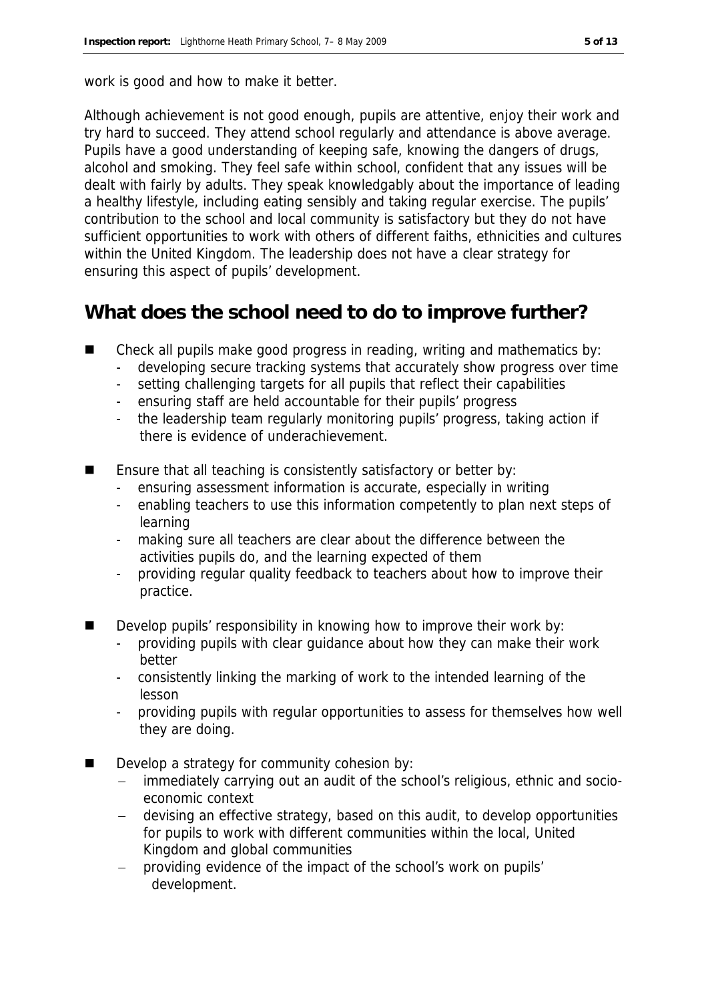work is good and how to make it better.

Although achievement is not good enough, pupils are attentive, enjoy their work and try hard to succeed. They attend school regularly and attendance is above average. Pupils have a good understanding of keeping safe, knowing the dangers of drugs, alcohol and smoking. They feel safe within school, confident that any issues will be dealt with fairly by adults. They speak knowledgably about the importance of leading a healthy lifestyle, including eating sensibly and taking regular exercise. The pupils' contribution to the school and local community is satisfactory but they do not have sufficient opportunities to work with others of different faiths, ethnicities and cultures within the United Kingdom. The leadership does not have a clear strategy for ensuring this aspect of pupils' development.

#### **What does the school need to do to improve further?**

- Check all pupils make good progress in reading, writing and mathematics by:
	- developing secure tracking systems that accurately show progress over time
	- setting challenging targets for all pupils that reflect their capabilities
	- ensuring staff are held accountable for their pupils' progress
	- the leadership team regularly monitoring pupils' progress, taking action if there is evidence of underachievement.
- Ensure that all teaching is consistently satisfactory or better by:
	- ensuring assessment information is accurate, especially in writing
	- enabling teachers to use this information competently to plan next steps of learning
	- making sure all teachers are clear about the difference between the activities pupils do, and the learning expected of them
	- providing regular quality feedback to teachers about how to improve their practice.
- Develop pupils' responsibility in knowing how to improve their work by:
	- providing pupils with clear guidance about how they can make their work better
	- consistently linking the marking of work to the intended learning of the lesson
	- providing pupils with regular opportunities to assess for themselves how well they are doing.
- Develop a strategy for community cohesion by:
	- immediately carrying out an audit of the school's religious, ethnic and socioeconomic context
	- devising an effective strategy, based on this audit, to develop opportunities for pupils to work with different communities within the local, United Kingdom and global communities
	- providing evidence of the impact of the school's work on pupils' development.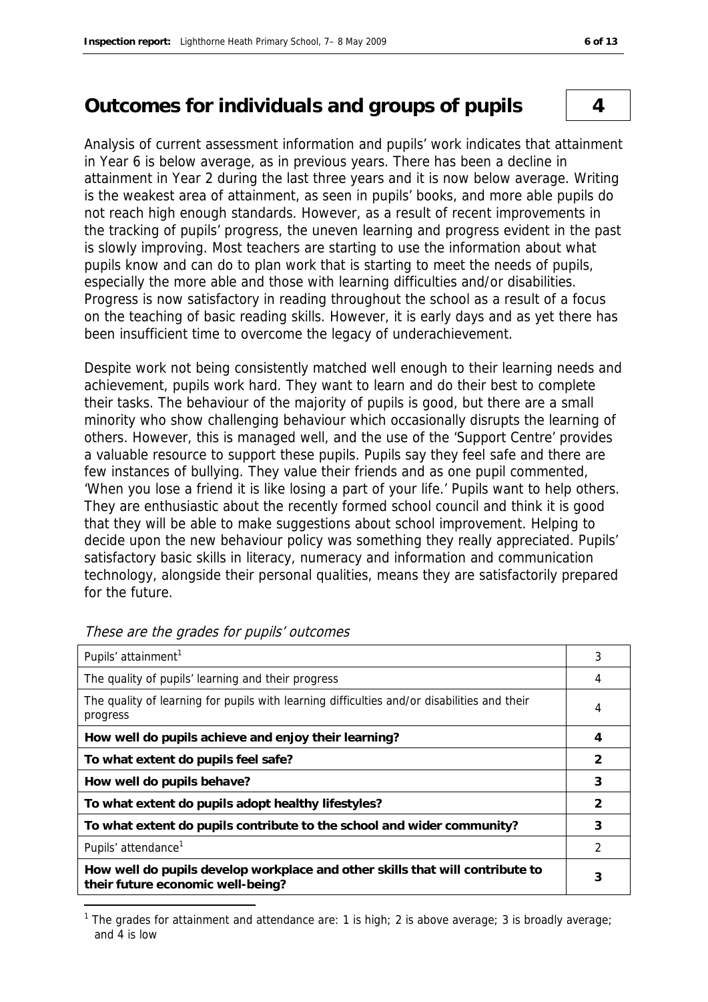#### **Outcomes for individuals and groups of pupils 4**

Analysis of current assessment information and pupils' work indicates that attainment in Year 6 is below average, as in previous years. There has been a decline in attainment in Year 2 during the last three years and it is now below average. Writing is the weakest area of attainment, as seen in pupils' books, and more able pupils do not reach high enough standards. However, as a result of recent improvements in the tracking of pupils' progress, the uneven learning and progress evident in the past is slowly improving. Most teachers are starting to use the information about what pupils know and can do to plan work that is starting to meet the needs of pupils, especially the more able and those with learning difficulties and/or disabilities. Progress is now satisfactory in reading throughout the school as a result of a focus on the teaching of basic reading skills. However, it is early days and as yet there has been insufficient time to overcome the legacy of underachievement.

Despite work not being consistently matched well enough to their learning needs and achievement, pupils work hard. They want to learn and do their best to complete their tasks. The behaviour of the majority of pupils is good, but there are a small minority who show challenging behaviour which occasionally disrupts the learning of others. However, this is managed well, and the use of the 'Support Centre' provides a valuable resource to support these pupils. Pupils say they feel safe and there are few instances of bullying. They value their friends and as one pupil commented, 'When you lose a friend it is like losing a part of your life.' Pupils want to help others. They are enthusiastic about the recently formed school council and think it is good that they will be able to make suggestions about school improvement. Helping to decide upon the new behaviour policy was something they really appreciated. Pupils' satisfactory basic skills in literacy, numeracy and information and communication technology, alongside their personal qualities, means they are satisfactorily prepared for the future.

| Pupils' attainment <sup>1</sup>                                                                                    | 3              |
|--------------------------------------------------------------------------------------------------------------------|----------------|
| The quality of pupils' learning and their progress                                                                 | 4              |
| The quality of learning for pupils with learning difficulties and/or disabilities and their<br>progress            | 4              |
| How well do pupils achieve and enjoy their learning?                                                               | $\overline{4}$ |
| To what extent do pupils feel safe?                                                                                | $\mathcal{P}$  |
| How well do pupils behave?                                                                                         | 3              |
| To what extent do pupils adopt healthy lifestyles?                                                                 | 2              |
| To what extent do pupils contribute to the school and wider community?                                             | 3              |
| Pupils' attendance <sup>1</sup>                                                                                    | 2              |
| How well do pupils develop workplace and other skills that will contribute to<br>their future economic well-being? | 3              |

These are the grades for pupils' outcomes

-

<sup>&</sup>lt;sup>1</sup> The grades for attainment and attendance are: 1 is high; 2 is above average; 3 is broadly average; and 4 is low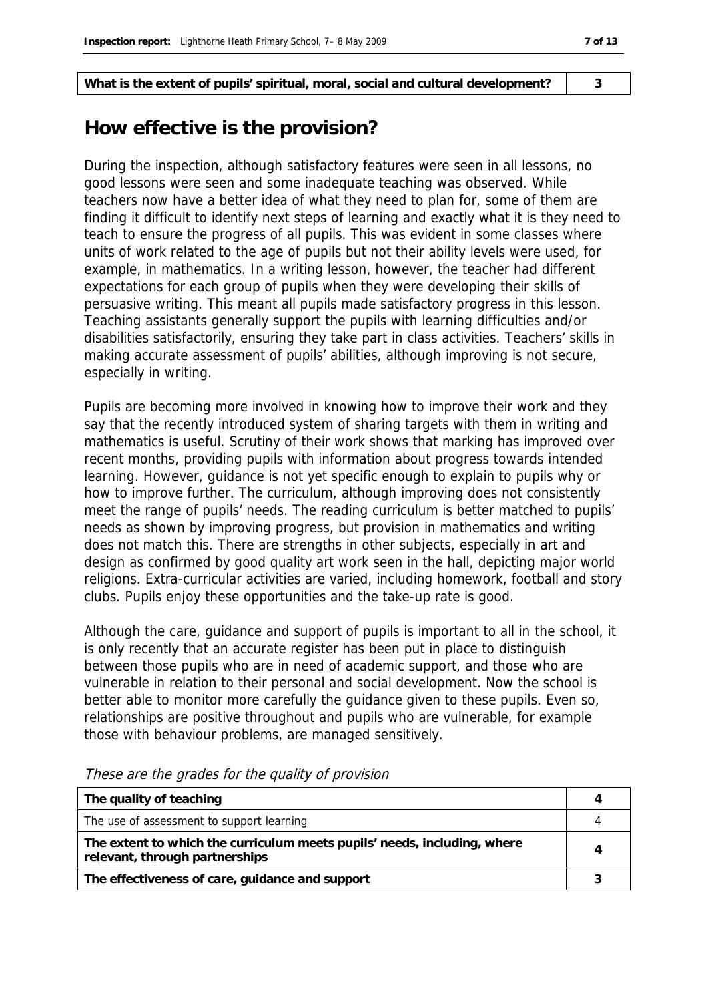**What is the extent of pupils' spiritual, moral, social and cultural development? 3**

#### **How effective is the provision?**

During the inspection, although satisfactory features were seen in all lessons, no good lessons were seen and some inadequate teaching was observed. While teachers now have a better idea of what they need to plan for, some of them are finding it difficult to identify next steps of learning and exactly what it is they need to teach to ensure the progress of all pupils. This was evident in some classes where units of work related to the age of pupils but not their ability levels were used, for example, in mathematics. In a writing lesson, however, the teacher had different expectations for each group of pupils when they were developing their skills of persuasive writing. This meant all pupils made satisfactory progress in this lesson. Teaching assistants generally support the pupils with learning difficulties and/or disabilities satisfactorily, ensuring they take part in class activities. Teachers' skills in making accurate assessment of pupils' abilities, although improving is not secure, especially in writing.

Pupils are becoming more involved in knowing how to improve their work and they say that the recently introduced system of sharing targets with them in writing and mathematics is useful. Scrutiny of their work shows that marking has improved over recent months, providing pupils with information about progress towards intended learning. However, guidance is not yet specific enough to explain to pupils why or how to improve further. The curriculum, although improving does not consistently meet the range of pupils' needs. The reading curriculum is better matched to pupils' needs as shown by improving progress, but provision in mathematics and writing does not match this. There are strengths in other subjects, especially in art and design as confirmed by good quality art work seen in the hall, depicting major world religions. Extra-curricular activities are varied, including homework, football and story clubs. Pupils enjoy these opportunities and the take-up rate is good.

Although the care, guidance and support of pupils is important to all in the school, it is only recently that an accurate register has been put in place to distinguish between those pupils who are in need of academic support, and those who are vulnerable in relation to their personal and social development. Now the school is better able to monitor more carefully the guidance given to these pupils. Even so, relationships are positive throughout and pupils who are vulnerable, for example those with behaviour problems, are managed sensitively.

| The quality of teaching                                                                                    |  |
|------------------------------------------------------------------------------------------------------------|--|
| The use of assessment to support learning                                                                  |  |
| The extent to which the curriculum meets pupils' needs, including, where<br>relevant, through partnerships |  |
| The effectiveness of care, guidance and support                                                            |  |

These are the grades for the quality of provision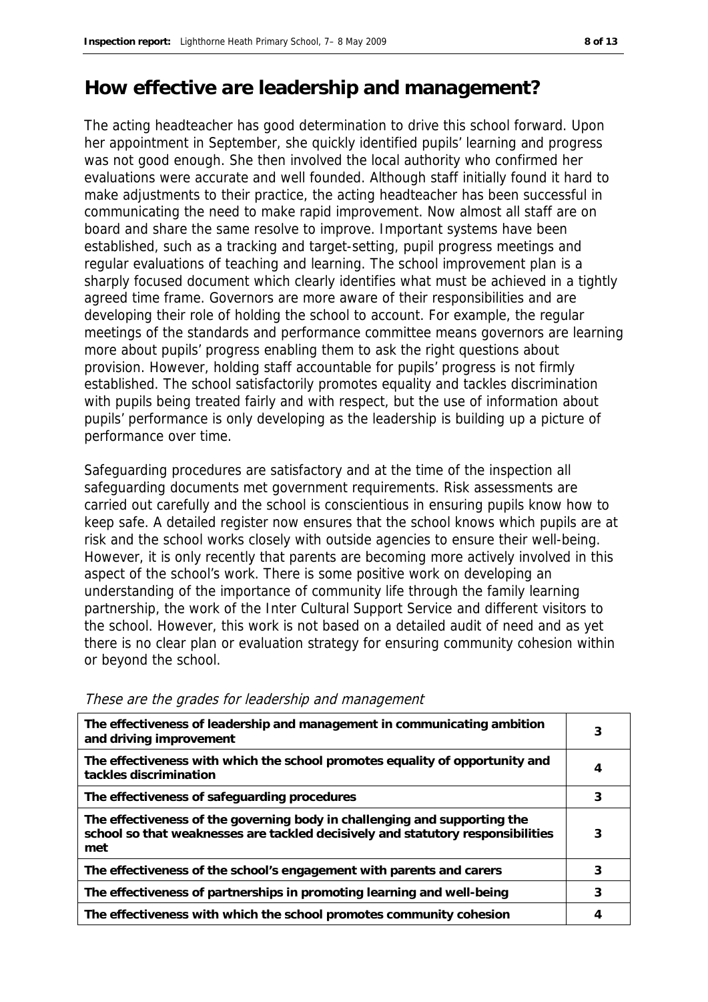#### **How effective are leadership and management?**

The acting headteacher has good determination to drive this school forward. Upon her appointment in September, she quickly identified pupils' learning and progress was not good enough. She then involved the local authority who confirmed her evaluations were accurate and well founded. Although staff initially found it hard to make adjustments to their practice, the acting headteacher has been successful in communicating the need to make rapid improvement. Now almost all staff are on board and share the same resolve to improve. Important systems have been established, such as a tracking and target-setting, pupil progress meetings and regular evaluations of teaching and learning. The school improvement plan is a sharply focused document which clearly identifies what must be achieved in a tightly agreed time frame. Governors are more aware of their responsibilities and are developing their role of holding the school to account. For example, the regular meetings of the standards and performance committee means governors are learning more about pupils' progress enabling them to ask the right questions about provision. However, holding staff accountable for pupils' progress is not firmly established. The school satisfactorily promotes equality and tackles discrimination with pupils being treated fairly and with respect, but the use of information about pupils' performance is only developing as the leadership is building up a picture of performance over time.

Safeguarding procedures are satisfactory and at the time of the inspection all safeguarding documents met government requirements. Risk assessments are carried out carefully and the school is conscientious in ensuring pupils know how to keep safe. A detailed register now ensures that the school knows which pupils are at risk and the school works closely with outside agencies to ensure their well-being. However, it is only recently that parents are becoming more actively involved in this aspect of the school's work. There is some positive work on developing an understanding of the importance of community life through the family learning partnership, the work of the Inter Cultural Support Service and different visitors to the school. However, this work is not based on a detailed audit of need and as yet there is no clear plan or evaluation strategy for ensuring community cohesion within or beyond the school.

| The effectiveness of leadership and management in communicating ambition<br>and driving improvement                                                                 | 3 |
|---------------------------------------------------------------------------------------------------------------------------------------------------------------------|---|
| The effectiveness with which the school promotes equality of opportunity and<br>tackles discrimination                                                              | 4 |
| The effectiveness of safeguarding procedures                                                                                                                        | 3 |
| The effectiveness of the governing body in challenging and supporting the<br>school so that weaknesses are tackled decisively and statutory responsibilities<br>met | 3 |
| The effectiveness of the school's engagement with parents and carers                                                                                                | 3 |
| The effectiveness of partnerships in promoting learning and well-being                                                                                              | 3 |
| The effectiveness with which the school promotes community cohesion                                                                                                 | 4 |

These are the grades for leadership and management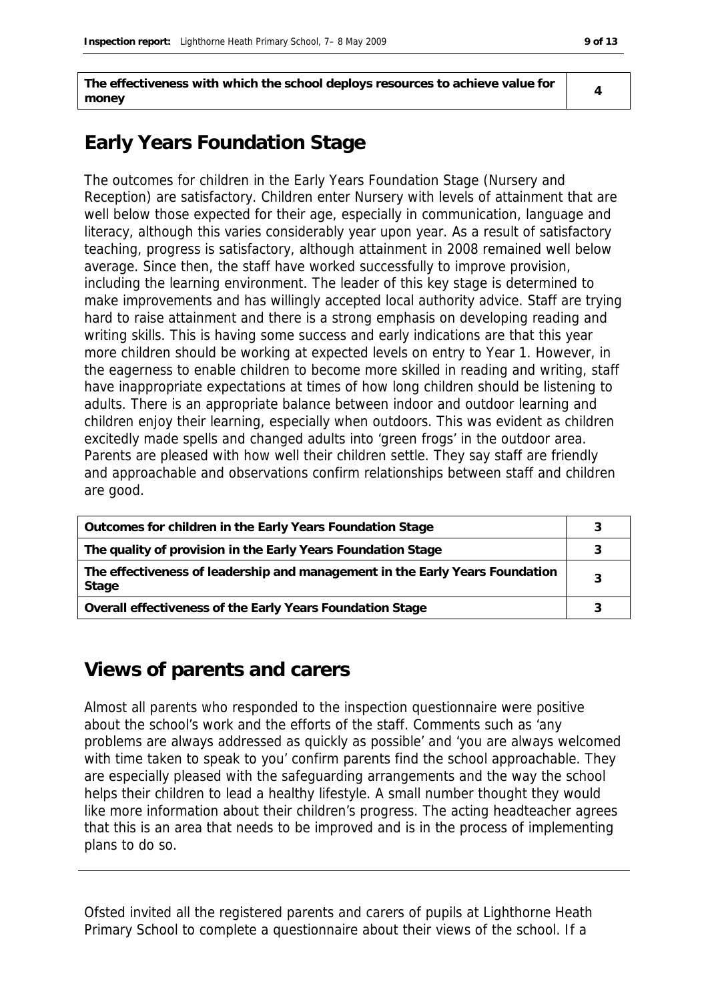**The effectiveness with which the school deploys resources to achieve value for money**

**4**

### **Early Years Foundation Stage**

The outcomes for children in the Early Years Foundation Stage (Nursery and Reception) are satisfactory. Children enter Nursery with levels of attainment that are well below those expected for their age, especially in communication, language and literacy, although this varies considerably year upon year. As a result of satisfactory teaching, progress is satisfactory, although attainment in 2008 remained well below average. Since then, the staff have worked successfully to improve provision, including the learning environment. The leader of this key stage is determined to make improvements and has willingly accepted local authority advice. Staff are trying hard to raise attainment and there is a strong emphasis on developing reading and writing skills. This is having some success and early indications are that this year more children should be working at expected levels on entry to Year 1. However, in the eagerness to enable children to become more skilled in reading and writing, staff have inappropriate expectations at times of how long children should be listening to adults. There is an appropriate balance between indoor and outdoor learning and children enjoy their learning, especially when outdoors. This was evident as children excitedly made spells and changed adults into 'green frogs' in the outdoor area. Parents are pleased with how well their children settle. They say staff are friendly and approachable and observations confirm relationships between staff and children are good.

| Outcomes for children in the Early Years Foundation Stage                             |  |
|---------------------------------------------------------------------------------------|--|
| The quality of provision in the Early Years Foundation Stage                          |  |
| The effectiveness of leadership and management in the Early Years Foundation<br>Stage |  |
| Overall effectiveness of the Early Years Foundation Stage                             |  |

#### **Views of parents and carers**

Almost all parents who responded to the inspection questionnaire were positive about the school's work and the efforts of the staff. Comments such as 'any problems are always addressed as quickly as possible' and 'you are always welcomed with time taken to speak to you' confirm parents find the school approachable. They are especially pleased with the safeguarding arrangements and the way the school helps their children to lead a healthy lifestyle. A small number thought they would like more information about their children's progress. The acting headteacher agrees that this is an area that needs to be improved and is in the process of implementing plans to do so.

Ofsted invited all the registered parents and carers of pupils at Lighthorne Heath Primary School to complete a questionnaire about their views of the school. If a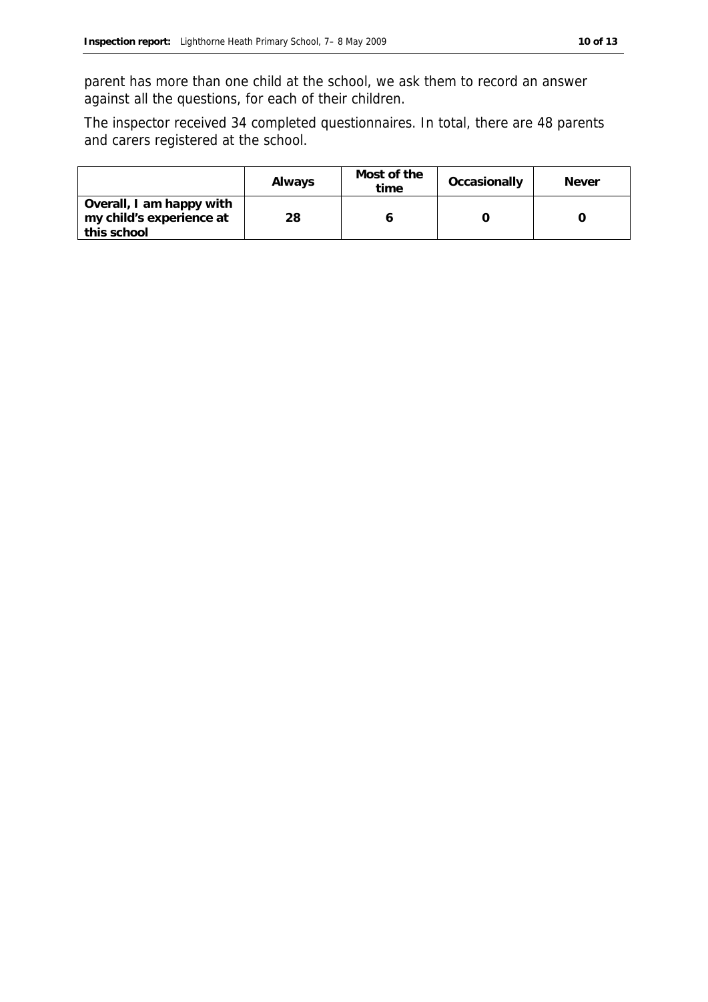parent has more than one child at the school, we ask them to record an answer against all the questions, for each of their children.

The inspector received 34 completed questionnaires. In total, there are 48 parents and carers registered at the school.

|                                                                     | Always | Most of the<br>time | Occasionally | <b>Never</b> |
|---------------------------------------------------------------------|--------|---------------------|--------------|--------------|
| Overall, I am happy with<br>my child's experience at<br>this school | 28     |                     |              |              |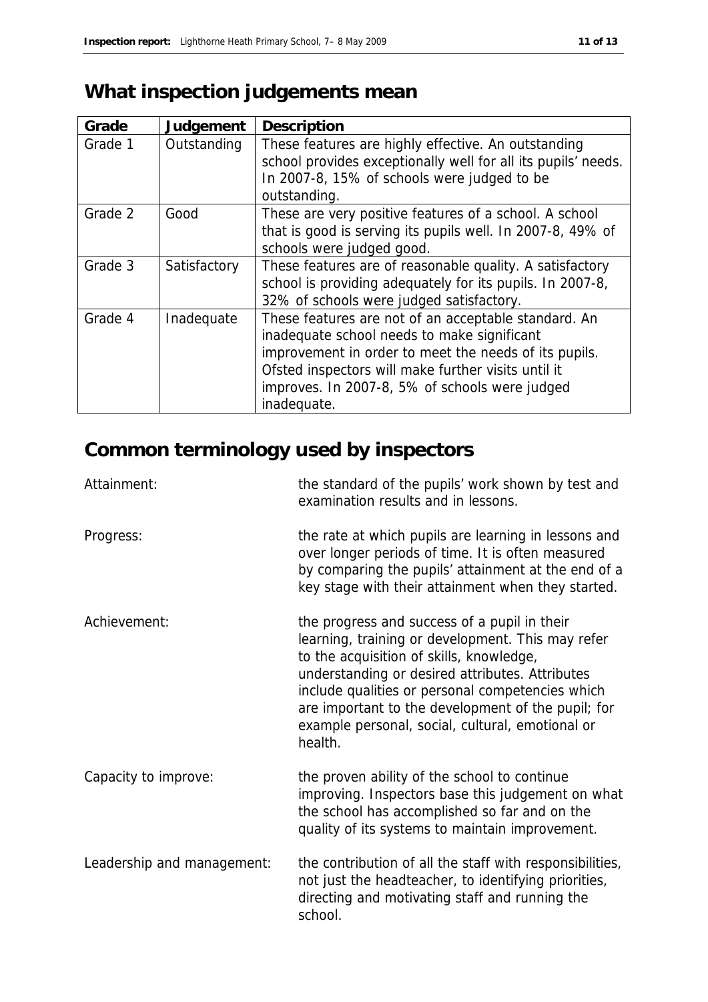# **What inspection judgements mean**

| Grade   | Judgement    | Description                                                                                                                                                                                                                                                                          |
|---------|--------------|--------------------------------------------------------------------------------------------------------------------------------------------------------------------------------------------------------------------------------------------------------------------------------------|
| Grade 1 | Outstanding  | These features are highly effective. An outstanding<br>school provides exceptionally well for all its pupils' needs.<br>In 2007-8, 15% of schools were judged to be<br>outstanding.                                                                                                  |
| Grade 2 | Good         | These are very positive features of a school. A school<br>that is good is serving its pupils well. In 2007-8, 49% of<br>schools were judged good.                                                                                                                                    |
| Grade 3 | Satisfactory | These features are of reasonable quality. A satisfactory<br>school is providing adequately for its pupils. In 2007-8,<br>32% of schools were judged satisfactory.                                                                                                                    |
| Grade 4 | Inadequate   | These features are not of an acceptable standard. An<br>inadequate school needs to make significant<br>improvement in order to meet the needs of its pupils.<br>Ofsted inspectors will make further visits until it<br>improves. In 2007-8, 5% of schools were judged<br>inadequate. |

# **Common terminology used by inspectors**

| Attainment:                | the standard of the pupils' work shown by test and<br>examination results and in lessons.                                                                                                                                                                                                                                                                                 |
|----------------------------|---------------------------------------------------------------------------------------------------------------------------------------------------------------------------------------------------------------------------------------------------------------------------------------------------------------------------------------------------------------------------|
| Progress:                  | the rate at which pupils are learning in lessons and<br>over longer periods of time. It is often measured<br>by comparing the pupils' attainment at the end of a<br>key stage with their attainment when they started.                                                                                                                                                    |
| Achievement:               | the progress and success of a pupil in their<br>learning, training or development. This may refer<br>to the acquisition of skills, knowledge,<br>understanding or desired attributes. Attributes<br>include qualities or personal competencies which<br>are important to the development of the pupil; for<br>example personal, social, cultural, emotional or<br>health. |
| Capacity to improve:       | the proven ability of the school to continue<br>improving. Inspectors base this judgement on what<br>the school has accomplished so far and on the<br>quality of its systems to maintain improvement.                                                                                                                                                                     |
| Leadership and management: | the contribution of all the staff with responsibilities,<br>not just the headteacher, to identifying priorities,<br>directing and motivating staff and running the<br>school.                                                                                                                                                                                             |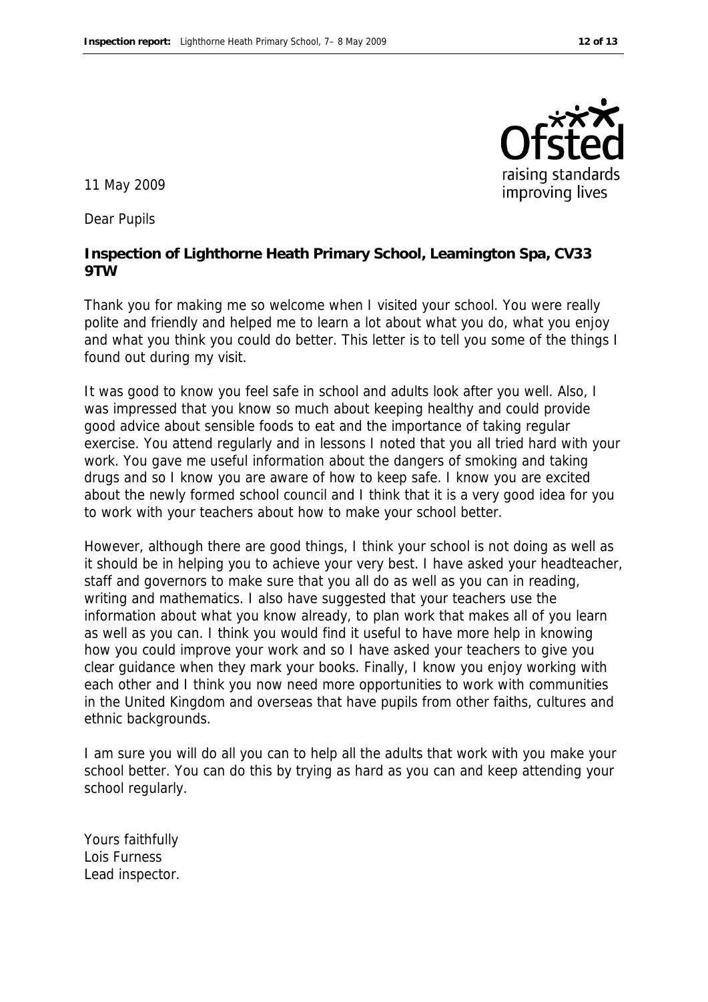

11 May 2009

Dear Pupils

**Inspection of Lighthorne Heath Primary School, Leamington Spa, CV33 9TW**

Thank you for making me so welcome when I visited your school. You were really polite and friendly and helped me to learn a lot about what you do, what you enjoy and what you think you could do better. This letter is to tell you some of the things I found out during my visit.

It was good to know you feel safe in school and adults look after you well. Also, I was impressed that you know so much about keeping healthy and could provide good advice about sensible foods to eat and the importance of taking regular exercise. You attend regularly and in lessons I noted that you all tried hard with your work. You gave me useful information about the dangers of smoking and taking drugs and so I know you are aware of how to keep safe. I know you are excited about the newly formed school council and I think that it is a very good idea for you to work with your teachers about how to make your school better.

However, although there are good things, I think your school is not doing as well as it should be in helping you to achieve your very best. I have asked your headteacher, staff and governors to make sure that you all do as well as you can in reading, writing and mathematics. I also have suggested that your teachers use the information about what you know already, to plan work that makes all of you learn as well as you can. I think you would find it useful to have more help in knowing how you could improve your work and so I have asked your teachers to give you clear guidance when they mark your books. Finally, I know you enjoy working with each other and I think you now need more opportunities to work with communities in the United Kingdom and overseas that have pupils from other faiths, cultures and ethnic backgrounds.

I am sure you will do all you can to help all the adults that work with you make your school better. You can do this by trying as hard as you can and keep attending your school regularly.

Yours faithfully Lois Furness Lead inspector.